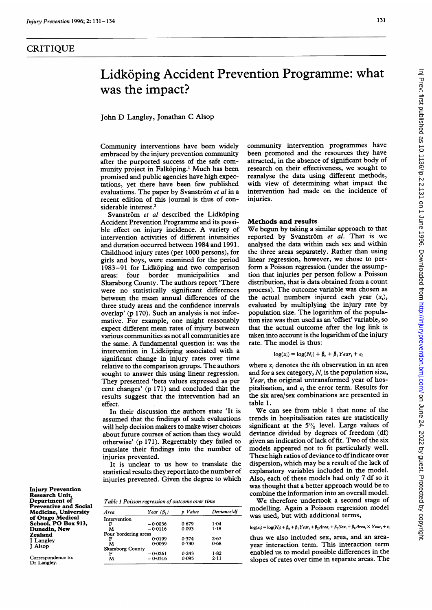## CRITIQUE

# Lidköping Accident Prevention Programme: what was the impact?

John D Langley, Jonathan C Alsop

Community interventions have been widely embraced by the injury prevention community after the purported success of the safe community project in Falköping.<sup>1</sup> Much has been promised and public agencies have high expectations, yet there have been few published evaluations. The paper by Svanström  $et$  al in a recent edition of this joumal is thus of considerable interest.<sup>2</sup>

Svanström et al described the Lidköping Accident Prevention Programme and its possible effect on injury incidence. A variety of intervention activities of different intensities and duration occurred between 1984 and 1991. Childhood injury rates (per 1000 persons), for girls and boys, were examined for the period 1983-91 for Lidkoping and two comparison areas: four border municipalities and Skaraborg County. The authors report 'There were no statistically significant differences between the mean annual differences of the three study areas and the confidence intervals overlap' (p 170). Such an analysis is not informative. For example, one might reasonably expect different mean rates of injury between various communities as not all communities are the same. A fundamental question is: was the intervention in Lidköping associated with a significant change in injury rates over time relative to the comparison groups. The authors sought to answer this using linear regression. They presented 'beta values expressed as per cent changes' (p 171) and concluded that the results suggest that the intervention had an effect.

In their discussion the authors state 'It is assumed that the findings of such evaluations will help decision makers to make wiser choices about future courses of action than they would otherwise' (p 171). Regrettably they failed to translate their findings into the number of injuries prevented.

It is unclear to us how to translate the statistical results they report into the number of injuries prevented. Given the degree to which

Injury Prevention Research Unit, Department of Preventive and Social Medicine, University of Otago Medical School, PO Box 913, Dunedin, New Zealand Langley J Alsop

Correspondence to: Dr Langley.

|  | Table 1 Poisson regression of outcome over time |  |
|--|-------------------------------------------------|--|
|  |                                                 |  |

| Area                    | Year $(\beta, )$ | Value | Deviance/df |
|-------------------------|------------------|-------|-------------|
| Intervention            |                  |       |             |
| F                       | $-0.0036$        | 0.679 | $1 - 04$    |
| м                       | $-0.0116$        | 0.093 | $1-18$      |
| Four bordering areas    |                  |       |             |
| F                       | 0.0199           | 0.374 | 2.67        |
| м                       | 0.0059           | 0.730 | 0.68        |
| <b>Skaraborg County</b> |                  |       |             |
| F                       | $-0.0261$        | 0.243 | $1-82$      |
| M                       | $-0.0316$        | 0.095 | 2.11        |

community intervention programmes have been promoted and the resources they have attracted, in the absence of significant body of research on their effectiveness, we sought to reanalyse the data using different methods, with view of determining what impact the intervention had made on the incidence of injuries.

### Methods and results

We begun by taking <sup>a</sup> similar approach to that reported by Svanström et al. That is we analysed the data within each sex and within the three areas separately. Rather than using linear regression, however, we chose to perform a Poisson regression (under the assumption that injuries per person follow a Poisson distribution, that is data obtained from a count process). The outcome variable was chosen as the actual numbers injured each year  $(x_i)$ , evaluated by multiplying the injury rate by population size. The logarithm of the population size was then used as an 'offset' variable, so that the actual outcome after the log link is taken into account is the logarithm of the injury rate. The model is thus:

 $\log(x_i) = \log(N_i) + \beta_0 + \beta_1 \text{Year}_i + e_i$ 

where  $x_i$  denotes the *i*th observation in an area and for a sex category,  $N_i$  is the population size, Year, the original untransformed year of hospitalisation, and  $e_i$  the error term. Results for the six area/sex combinations are presented in table 1.

We can see from table <sup>1</sup> that none of the trends in hospitalisation rates are statistically significant at the  $5\%$  level. Large values of deviance divided by degrees of freedom (df) given an indication of lack of fit. Two of the six models appeared not to fit particularly well. These high ratios of deviance to dfindicate over dispersion, which may be <sup>a</sup> result of the lack of explanatory variables included in the model. Also, each of these models had only 7 df so it was thought that a better approach would be to combine the information into an overall model.

We therefore undertook <sup>a</sup> second stage of modelling. Again <sup>a</sup> Poisson regression model was used, but with additional terms,

## $\log(x_i) = \log(N_i) + \beta_{\rm o} + \beta_1 \, Year_i + \beta_2 Area_i + \beta_3 \, Sex_i + \beta_4 Area_i \times Year_i + e_i$

thus we also included sex, area, and an areayear interaction term. This interaction term enabled us to model possible differences in the slopes of rates over time in separate areas. The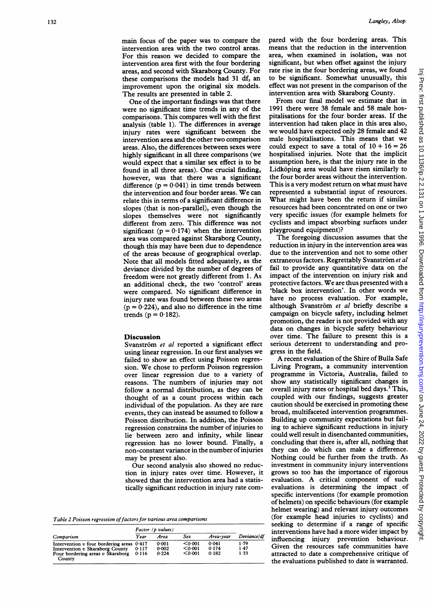main focus of the paper was to compare the intervention area with the two control areas. For this reason we decided to compare the intervention area first with the four bordering areas, and second with Skaraborg County. For these comparisons the models had 31 df, an improvement upon the original six models. The results are presented in table 2.

One of the important findings was that there were no significant time trends in any of the comparisons. This compares well with the first analysis (table 1). The differences in average injury rates were significant between the intervention area and the other two comparison areas. Also, the differences between sexes were highly significant in all three comparisons (we would expect that a similar sex effect is to be found in all three areas). One crucial finding, however, was that there was a significant difference  $(p = 0.041)$  in time trends between the intervention and four border areas. We can relate this in terms of a significant difference in slopes (that is non-parallel), even though the slopes themselves were not significantly different from zero. This difference was not significant ( $p = 0.174$ ) when the intervention area was compared against Skaraborg County, though this may have been due to dependence of the areas because of geographical overlap. Note that all models fitted adequately, as the deviance divided by the number of degrees of freedom were not greatly different from 1. As an additional check, the two 'control' areas were compared. No significant difference in injury rate was found between these two areas  $(p = 0.224)$ , and also no difference in the time trends ( $p = 0.182$ ).

#### Discussion

Svanström et al reported a significant effect using linear regression. In our first analyses we failed to show an effect using Poisson regression. We chose to perform Poisson regression over linear regression due to a variety of reasons. The numbers of injuries may not follow a normal distribution, as they can be thought of as a count process within each individual of the population. As they are rare events, they can instead be assumed to follow a Poisson distribution. In addition, the Poisson regression constrains the number of injuries to lie between zero and infinity, while linear regression has no lower bound. Finally, a non-constant variance in the number ofinjuries may be present also.

Our second analysis also showed no reduction in injury rates over time. However, it showed that the intervention area had a statistically significant reduction in injury rate com-

|  |  |  |  |  | Table 2 Poisson regression of factors for various area comparisons |
|--|--|--|--|--|--------------------------------------------------------------------|
|  |  |  |  |  |                                                                    |
|  |  |  |  |  |                                                                    |
|  |  |  |  |  |                                                                    |

|                                               | Factor (p values) |       |         |           |             |
|-----------------------------------------------|-------------------|-------|---------|-----------|-------------|
| Comparison                                    | Year              | Area  | Sex     | Area-vear | Deviance/df |
| Intervention $v$ four bordering areas $0.417$ |                   | 0.001 | < 0.001 | 0.041     | 1.79        |
| Intervention v Skaraborg County               | 0.117             | 0.002 | < 0.001 | 0.174     | 1.47        |
| Four bordering areas $v$ Skaraborg<br>County  | 0.116             | 0.224 | < 0.001 | 0.182     | 1.33        |

pared with the four bordering areas. This means that the reduction in the intervention area, when examined in isolation, was not significant, but when offset against the injury rate rise in the four bordering areas, we found to be significant. Somewhat unusually, this effect was not present in the comparison of the intervention area with Skaraborg County.

From our final model we estimate that in 1991 there were 38 female and 58 male hospitalisations for the four border areas. If the intervention had taken place in this area also, we would have expected only 28 female and 42 male hospitalisations. This means that we could expect to save a total of  $10 + 16 = 26$ hospitalised injuries. Note that the implicit assumption here, is that the injury rate in the Lidköping area would have risen similarly to the four border areas without the intervention. This is a very modest return on what must have represented a substantial input of resources. What might have been the return if similar resources had been concentrated on one or two very specific issues (for example helmets for cyclists and impact absorbing surfaces under playground equipment)?

The foregoing discussion assumes that the reduction in injury in the intervention area was due to the intervention and not to some other extraneous factors. Regrettably Svanström et al fail to provide any quantitative data on the impact of the intervention on injury risk and protective factors. We are thus presented with <sup>a</sup> 'black box intervention'. In other words we have no process evaluation. For example, although Svanström et al briefly describe a campaign on bicycle safety, including helmet promotion, the reader is not provided with any data on changes in bicycle safety behaviour over time. The failure to present this is a serious deterrent to understanding and progress in the field.

A recent evaluation of the Shire of Bulla Safe Living Program, a community intervention programme in Victoria, Australia, failed to show any statistically significant changes in overall injury rates or hospital bed days.<sup>3</sup> This, coupled with our findings, suggests greater caution should be exercised in promoting these broad, multifaceted intervention programmes. Building up community expectations but failing to achieve significant reductions in injury could well result in disenchanted communities, concluding that there is, after all, nothing that they can do which can make a difference. Nothing could be further from the truth. As investment in community injury interventions grows so too has the importance of rigorous evaluation. A critical component of such evaluations is determining the impact . of specific interventions (for example promotion of helmets) on specific behaviours (for example helmet wearing) and relevant injury outcomes (for example head injuries to cyclists) and seeking to determine if a range of specific interventions have had a more wider impact by influencing injury prevention behaviour. Given the resources safe communities have attracted to date a comprehensive critique of the evaluations published to date is warranted.